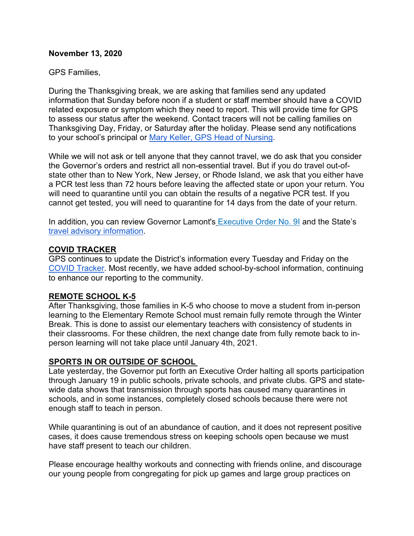#### **November 13, 2020**

#### GPS Families,

During the Thanksgiving break, we are asking that families send any updated information that Sunday before noon if a student or staff member should have a COVID related exposure or symptom which they need to report. This will provide time for GPS to assess our status after the weekend. Contact tracers will not be calling families on Thanksgiving Day, Friday, or Saturday after the holiday. Please send any notifications to your school's principal or [Mary Keller, GPS Head of Nursing.](mailto:mary_keller@greenwich.k12.ct.us)

While we will not ask or tell anyone that they cannot travel, we do ask that you consider the Governor's orders and restrict all non-essential travel. But if you do travel out-ofstate other than to New York, New Jersey, or Rhode Island, we ask that you either have a PCR test less than 72 hours before leaving the affected state or upon your return. You will need to quarantine until you can obtain the results of a negative PCR test. If you cannot get tested, you will need to quarantine for 14 days from the date of your return.

In addition, you can review Governor Lamont's [Executive Order No. 9I](https://portal.ct.gov/-/media/Office-of-the-Governor/Executive-Orders/Lamont-Executive-Orders/Executive-Order-No-9I.pdf) and the State's [travel advisory information.](https://portal.ct.gov/Coronavirus/travel)

#### **COVID TRACKER**

GPS continues to update the District's information every Tuesday and Friday on the [COVID Tracker.](https://www.greenwichschools.org/teaching-learning/student-support-services/health-services/covid-19) Most recently, we have added school-by-school information, continuing to enhance our reporting to the community.

#### **REMOTE SCHOOL K-5**

After Thanksgiving, those families in K-5 who choose to move a student from in-person learning to the Elementary Remote School must remain fully remote through the Winter Break. This is done to assist our elementary teachers with consistency of students in their classrooms. For these children, the next change date from fully remote back to inperson learning will not take place until January 4th, 2021.

#### **SPORTS IN OR OUTSIDE OF SCHOOL**

Late yesterday, the Governor put forth an Executive Order halting all sports participation through January 19 in public schools, private schools, and private clubs. GPS and statewide data shows that transmission through sports has caused many quarantines in schools, and in some instances, completely closed schools because there were not enough staff to teach in person.

While quarantining is out of an abundance of caution, and it does not represent positive cases, it does cause tremendous stress on keeping schools open because we must have staff present to teach our children.

Please encourage healthy workouts and connecting with friends online, and discourage our young people from congregating for pick up games and large group practices on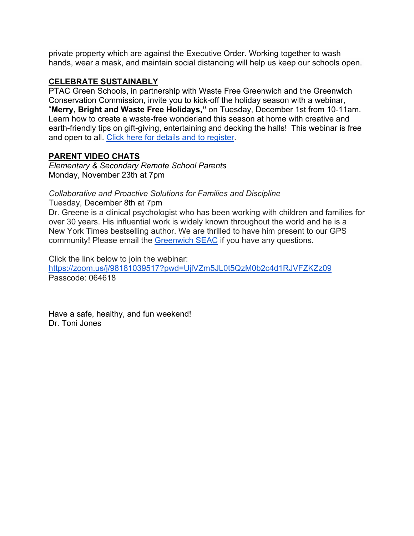private property which are against the Executive Order. Working together to wash hands, wear a mask, and maintain social distancing will help us keep our schools open.

#### **CELEBRATE SUSTAINABLY**

PTAC Green Schools, in partnership with Waste Free Greenwich and the Greenwich Conservation Commission, invite you to kick-off the holiday season with a webinar, "**Merry, Bright and Waste Free Holidays,"** on Tuesday, December 1st from 10-11am. Learn how to create a waste-free wonderland this season at home with creative and earth-friendly tips on gift-giving, entertaining and decking the halls! This webinar is free and open to all. [Click here for details and to register.](https://www.wastefreegreenwich.org/waste-free-holidays)

# **PARENT VIDEO CHATS**

*Elementary & Secondary Remote School Parents* Monday, November 23th at 7pm

## *Collaborative and Proactive Solutions for Families and Discipline*

Tuesday, December 8th at 7pm

Dr. Greene is a clinical psychologist who has been working with children and families for over 30 years. His influential work is widely known throughout the world and he is a New York Times bestselling author. We are thrilled to have him present to our GPS community! Please email the [Greenwich SEAC](mailto:greenwichSEAC@gmail.com) if you have any questions.

Click the link below to join the webinar:

<https://zoom.us/j/98181039517?pwd=UjlVZm5JL0t5QzM0b2c4d1RJVFZKZz09> Passcode: 064618

Have a safe, healthy, and fun weekend! Dr. Toni Jones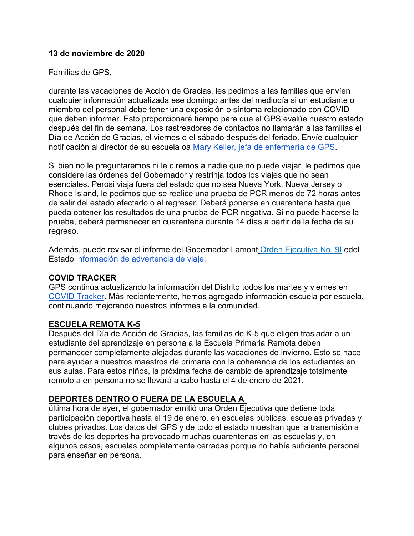#### **13 de noviembre de 2020**

### Familias de GPS,

durante las vacaciones de Acción de Gracias, les pedimos a las familias que envíen cualquier información actualizada ese domingo antes del mediodía si un estudiante o miembro del personal debe tener una exposición o síntoma relacionado con COVID que deben informar. Esto proporcionará tiempo para que el GPS evalúe nuestro estado después del fin de semana. Los rastreadores de contactos no llamarán a las familias el Día de Acción de Gracias, el viernes o el sábado después del feriado. Envíe cualquier notificación al director de su escuela oa [Mary Keller, jefa de enfermería de GPS.](mailto:mary_keller@greenwich.k12.ct.us)

Si bien no le preguntaremos ni le diremos a nadie que no puede viajar, le pedimos que considere las órdenes del Gobernador y restrinja todos los viajes que no sean esenciales. Perosi viaja fuera del estado que no sea Nueva York, Nueva Jersey o Rhode Island, le pedimos que se realice una prueba de PCR menos de 72 horas antes de salir del estado afectado o al regresar. Deberá ponerse en cuarentena hasta que pueda obtener los resultados de una prueba de PCR negativa. Si no puede hacerse la prueba, deberá permanecer en cuarentena durante 14 días a partir de la fecha de su regreso.

Además, puede revisar el informe del Gobernador Lamont [Orden Ejecutiva No. 9I](https://portal.ct.gov/-/media/Office-of-the-Governor/Executive-Orders/Lamont-Executive-Orders/Executive-Order-No-9I.pdf) edel Estado [información de advertencia de viaje.](https://portal.ct.gov/Coronavirus/travel)

#### **COVID TRACKER**

GPS continúa actualizando la información del Distrito todos los martes y viernes en [COVID Tracker.](https://www.greenwichschools.org/teaching-learning/student-support-services/health-services/covid-19) Más recientemente, hemos agregado información escuela por escuela, continuando mejorando nuestros informes a la comunidad.

#### **ESCUELA REMOTA K-5**

Después del Día de Acción de Gracias, las familias de K-5 que eligen trasladar a un estudiante del aprendizaje en persona a la Escuela Primaria Remota deben permanecer completamente alejadas durante las vacaciones de invierno. Esto se hace para ayudar a nuestros maestros de primaria con la coherencia de los estudiantes en sus aulas. Para estos niños, la próxima fecha de cambio de aprendizaje totalmente remoto a en persona no se llevará a cabo hasta el 4 de enero de 2021.

# **DEPORTES DENTRO O FUERA DE LA ESCUELA A**

última hora de ayer, el gobernador emitió una Orden Ejecutiva que detiene toda participación deportiva hasta el 19 de enero. en escuelas públicas, escuelas privadas y clubes privados. Los datos del GPS y de todo el estado muestran que la transmisión a través de los deportes ha provocado muchas cuarentenas en las escuelas y, en algunos casos, escuelas completamente cerradas porque no había suficiente personal para enseñar en persona.